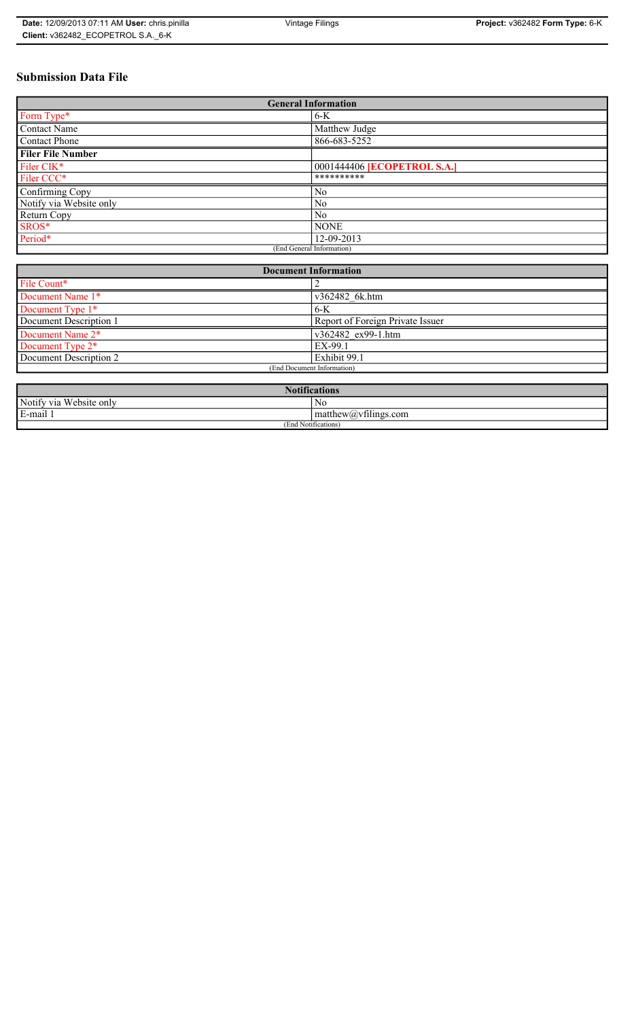# **Submission Data File**

| <b>General Information</b> |                                    |
|----------------------------|------------------------------------|
| Form Type*                 | $6-K$                              |
| <b>Contact Name</b>        | Matthew Judge                      |
| <b>Contact Phone</b>       | 866-683-5252                       |
| <b>Filer File Number</b>   |                                    |
| Filer CIK*                 | 0001444406 <b>[ECOPETROL S.A.]</b> |
| Filer CCC*                 | **********                         |
| Confirming Copy            | N <sub>0</sub>                     |
| Notify via Website only    | N <sub>0</sub>                     |
| Return Copy                | N <sub>0</sub>                     |
| SROS*                      | <b>NONE</b>                        |
| Period*                    | 12-09-2013                         |
| (End General Information)  |                                    |

| <b>Document Information</b>  |                                  |
|------------------------------|----------------------------------|
| File Count*                  |                                  |
| Document Name 1*             | v362482 6k.htm                   |
| Document Type 1*             | $6-K$                            |
| Document Description 1       | Report of Foreign Private Issuer |
| Document Name 2*             | v362482 ex99-1.htm               |
| Document Type 2 <sup>*</sup> | EX-99.1                          |
| Document Description 2       | Exhibit 99.1                     |
| (End Document Information)   |                                  |
|                              |                                  |

| $N$ oti $e$<br>tications                |                                               |
|-----------------------------------------|-----------------------------------------------|
| Notify via<br>$TTT$ 1<br>. Website only | N0                                            |
| E-mail 1                                | $\sim$ 1.<br>matthew( <i>a</i> ) vtilings.com |
| (End Notifications)                     |                                               |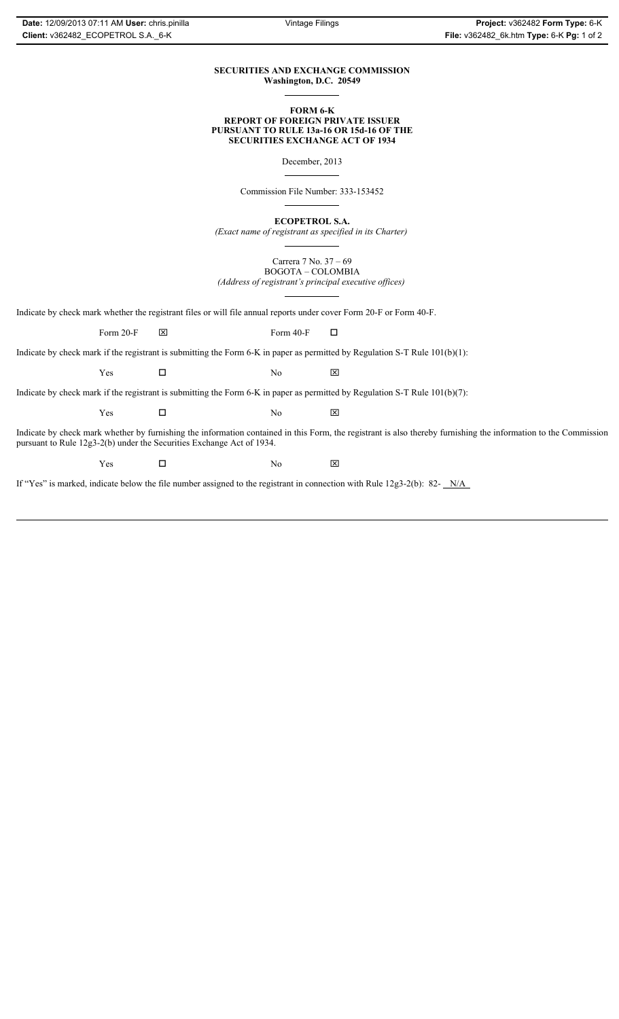## **SECURITIES AND EXCHANGE COMMISSION Washington, D.C. 20549**

### **FORM 6-K REPORT OF FOREIGN PRIVATE ISSUER PURSUANT TO RULE 13a-16 OR 15d-16 OF THE SECURITIES EXCHANGE ACT OF 1934**

December, 2013

Commission File Number: 333-153452

**ECOPETROL S.A.**

*(Exact name of registrant as specified in its Charter)*

Carrera 7 No. 37 – 69 BOGOTA – COLOMBIA *(Address of registrant's principal executive offices)*

Indicate by check mark whether the registrant files or will file annual reports under cover Form 20-F or Form 40-F.

Form 20-F  $\boxtimes$  Form 40-F  $\Box$ 

Indicate by check mark if the registrant is submitting the Form 6-K in paper as permitted by Regulation S-T Rule 101(b)(1):

 $Yes$   $\Box$  No  $X$ 

Indicate by check mark if the registrant is submitting the Form 6-K in paper as permitted by Regulation S-T Rule 101(b)(7):

 $Yes$   $\Box$  No  $X$ 

Indicate by check mark whether by furnishing the information contained in this Form, the registrant is also thereby furnishing the information to the Commission pursuant to Rule 12g3-2(b) under the Securities Exchange Act of 1934.

 $Yes$   $\Box$  No  $X$ 

If "Yes" is marked, indicate below the file number assigned to the registrant in connection with Rule 12g3-2(b): 82- N/A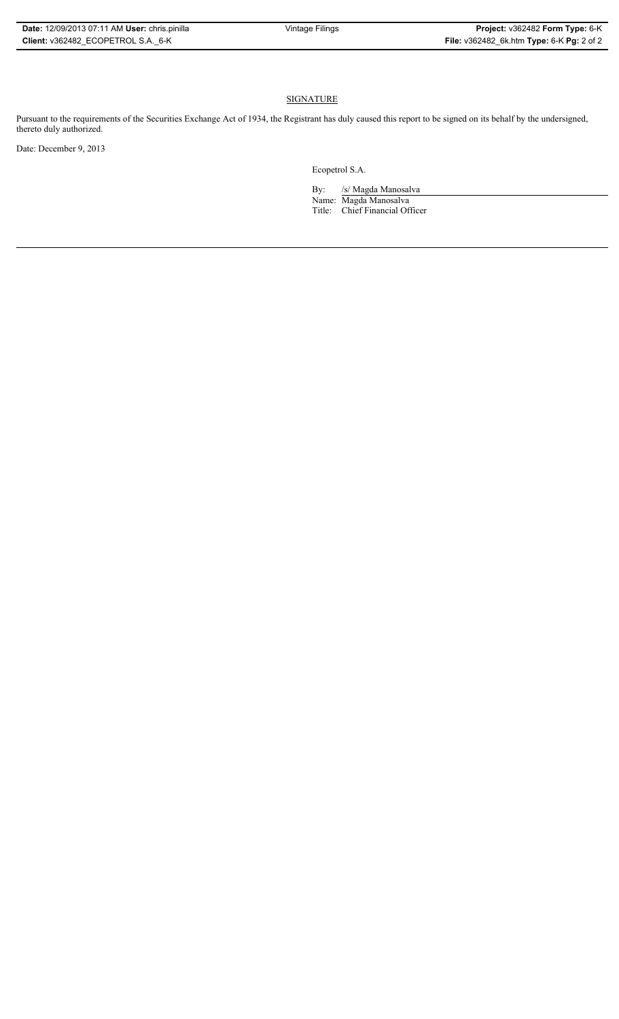# **SIGNATURE**

Pursuant to the requirements of the Securities Exchange Act of 1934, the Registrant has duly caused this report to be signed on its behalf by the undersigned, thereto duly authorized.

Date: December 9, 2013

Ecopetrol S.A.

By: /s/ Magda Manosalva Name: Magda Manosalva Title: Chief Financial Officer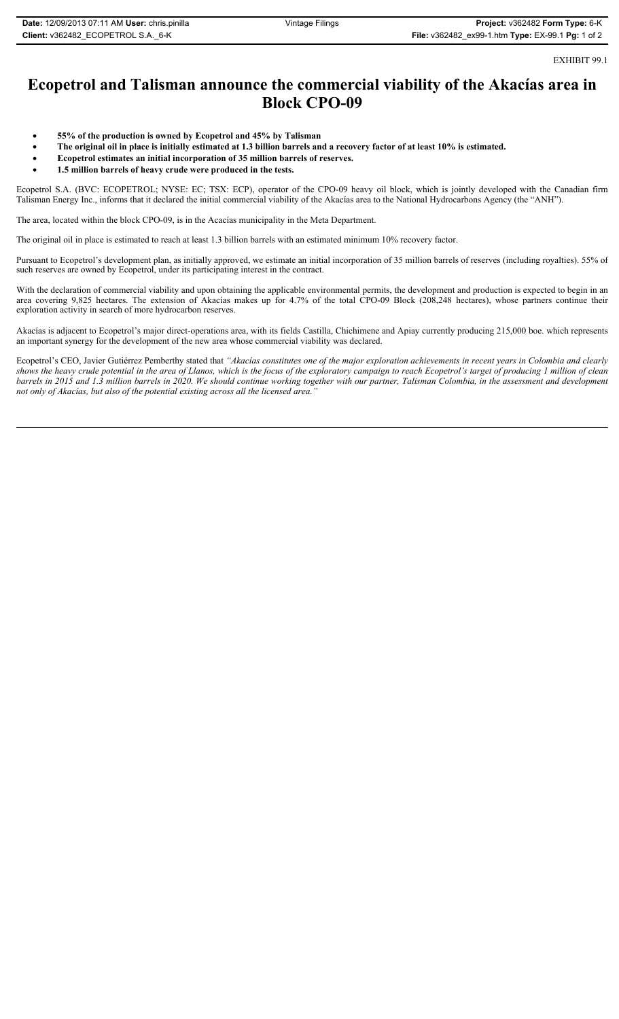EXHIBIT 99.1

# **Ecopetrol and Talisman announce the commercial viability of the Akacías area in Block CPO-09**

- x **55% of the production is owned by Ecopetrol and 45% by Talisman**
- **•** The original oil in place is initially estimated at 1.3 billion barrels and a recovery factor of at least 10% is estimated.
- **•** Ecopetrol estimates an initial incorporation of 35 million barrels of reserves.
- x **1.5 million barrels of heavy crude were produced in the tests.**

Ecopetrol S.A. (BVC: ECOPETROL; NYSE: EC; TSX: ECP), operator of the CPO-09 heavy oil block, which is jointly developed with the Canadian firm Talisman Energy Inc., informs that it declared the initial commercial viability of the Akacías area to the National Hydrocarbons Agency (the "ANH").

The area, located within the block CPO-09, is in the Acacías municipality in the Meta Department.

The original oil in place is estimated to reach at least 1.3 billion barrels with an estimated minimum 10% recovery factor.

Pursuant to Ecopetrol's development plan, as initially approved, we estimate an initial incorporation of 35 million barrels of reserves (including royalties). 55% of such reserves are owned by Ecopetrol, under its participating interest in the contract.

With the declaration of commercial viability and upon obtaining the applicable environmental permits, the development and production is expected to begin in an area covering 9,825 hectares. The extension of Akacías makes up for 4.7% of the total CPO-09 Block (208,248 hectares), whose partners continue their exploration activity in search of more hydrocarbon reserves.

Akacías is adjacent to Ecopetrol's major direct-operations area, with its fields Castilla, Chichimene and Apiay currently producing 215,000 boe. which represents an important synergy for the development of the new area whose commercial viability was declared.

Ecopetrol's CEO, Javier Gutiérrez Pemberthy stated that *"Akacías constitutes one of the major exploration achievements in recent years in Colombia and clearly shows the heavy crude potential in the area of Llanos, which is the focus of the exploratory campaign to reach Ecopetrol's target of producing 1 million of clean barrels in 2015 and 1.3 million barrels in 2020. We should continue working together with our partner, Talisman Colombia, in the assessment and development not only of Akacías, but also of the potential existing across all the licensed area."*